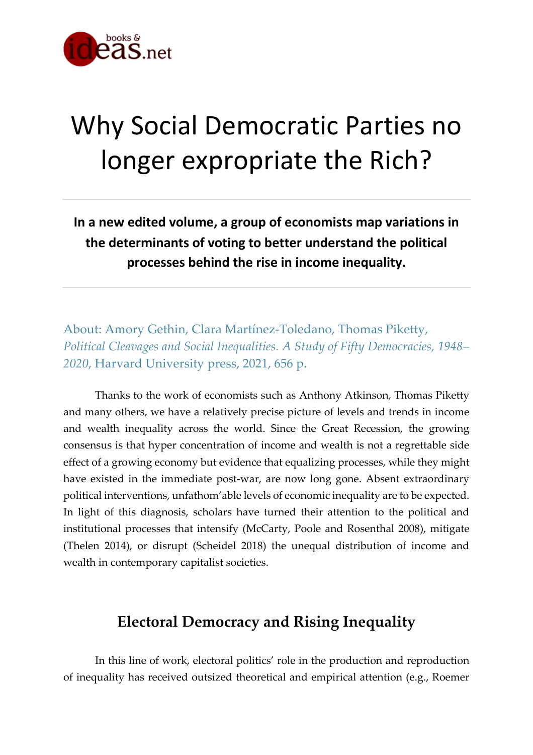

# Why Social Democratic Parties no longer expropriate the Rich?

**In a new edited volume, a group of economists map variations in the determinants of voting to better understand the political processes behind the rise in income inequality.**

About: Amory Gethin, Clara Martínez-Toledano, Thomas Piketty, *Political Cleavages and Social Inequalities. A Study of Fifty Democracies, 1948– 2020*, Harvard University press, 2021, 656 p.

Thanks to the work of economists such as Anthony Atkinson, Thomas Piketty and many others, we have a relatively precise picture of levels and trends in income and wealth inequality across the world. Since the Great Recession, the growing consensus is that hyper concentration of income and wealth is not a regrettable side effect of a growing economy but evidence that equalizing processes, while they might have existed in the immediate post-war, are now long gone. Absent extraordinary political interventions, unfathom'able levels of economic inequality are to be expected. In light of this diagnosis, scholars have turned their attention to the political and institutional processes that intensify (McCarty, Poole and Rosenthal 2008), mitigate (Thelen 2014), or disrupt (Scheidel 2018) the unequal distribution of income and wealth in contemporary capitalist societies.

## **Electoral Democracy and Rising Inequality**

In this line of work, electoral politics' role in the production and reproduction of inequality has received outsized theoretical and empirical attention (e.g., Roemer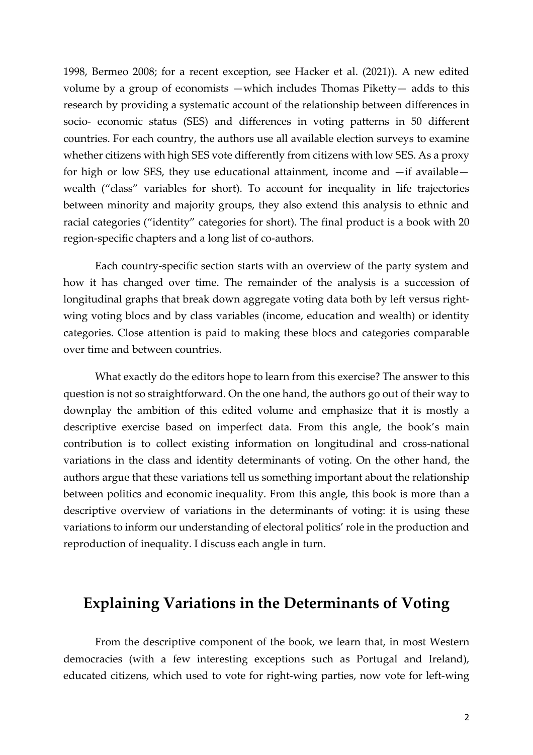1998, Bermeo 2008; for a recent exception, see Hacker et al. (2021)). A new edited volume by a group of economists —which includes Thomas Piketty— adds to this research by providing a systematic account of the relationship between differences in socio- economic status (SES) and differences in voting patterns in 50 different countries. For each country, the authors use all available election surveys to examine whether citizens with high SES vote differently from citizens with low SES. As a proxy for high or low SES, they use educational attainment, income and —if available wealth ("class" variables for short). To account for inequality in life trajectories between minority and majority groups, they also extend this analysis to ethnic and racial categories ("identity" categories for short). The final product is a book with 20 region-specific chapters and a long list of co-authors.

Each country-specific section starts with an overview of the party system and how it has changed over time. The remainder of the analysis is a succession of longitudinal graphs that break down aggregate voting data both by left versus rightwing voting blocs and by class variables (income, education and wealth) or identity categories. Close attention is paid to making these blocs and categories comparable over time and between countries.

What exactly do the editors hope to learn from this exercise? The answer to this question is not so straightforward. On the one hand, the authors go out of their way to downplay the ambition of this edited volume and emphasize that it is mostly a descriptive exercise based on imperfect data. From this angle, the book's main contribution is to collect existing information on longitudinal and cross-national variations in the class and identity determinants of voting. On the other hand, the authors argue that these variations tell us something important about the relationship between politics and economic inequality. From this angle, this book is more than a descriptive overview of variations in the determinants of voting: it is using these variations to inform our understanding of electoral politics' role in the production and reproduction of inequality. I discuss each angle in turn.

#### **Explaining Variations in the Determinants of Voting**

From the descriptive component of the book, we learn that, in most Western democracies (with a few interesting exceptions such as Portugal and Ireland), educated citizens, which used to vote for right-wing parties, now vote for left-wing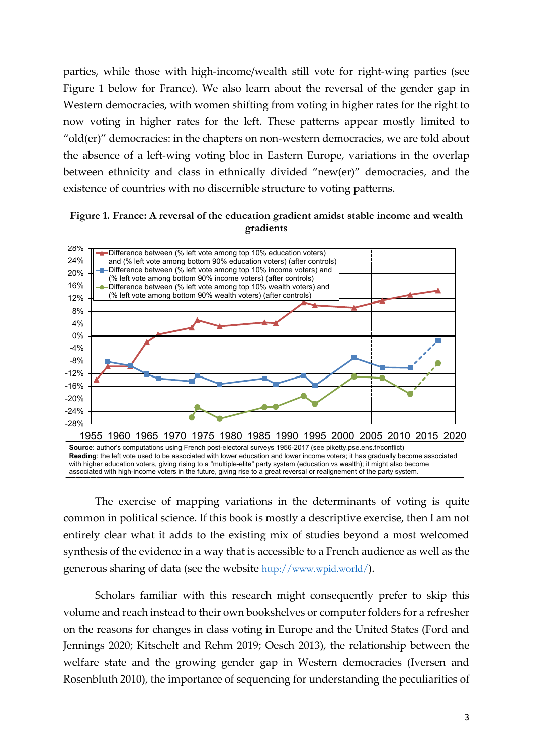parties, while those with high-income/wealth still vote for right-wing parties (see Figure 1 below for France). We also learn about the reversal of the gender gap in Western democracies, with women shifting from voting in higher rates for the right to now voting in higher rates for the left. These patterns appear mostly limited to "old(er)" democracies: in the chapters on non-western democracies, we are told about the absence of a left-wing voting bloc in Eastern Europe, variations in the overlap between ethnicity and class in ethnically divided "new(er)" democracies, and the existence of countries with no discernible structure to voting patterns.

#### **Figure 1. France: A reversal of the education gradient amidst stable income and wealth**   $$



The exercise of mapping variations in the determinants of voting is quite common in political science. If this book is mostly a descriptive exercise, then I am not entirely clear what it adds to the existing mix of studies beyond a most welcomed synthesis of the evidence in a way that is accessible to a French audience as well as the generous sharing of data (see the website http://www.wpid.world/).

Scholars familiar with this research might consequently prefer to skip this volume and reach instead to their own bookshelves or computer folders for a refresher on the reasons for changes in class voting in Europe and the United States (Ford and Jennings 2020; Kitschelt and Rehm 2019; Oesch 2013), the relationship between the welfare state and the growing gender gap in Western democracies (Iversen and Rosenbluth 2010), the importance of sequencing for understanding the peculiarities of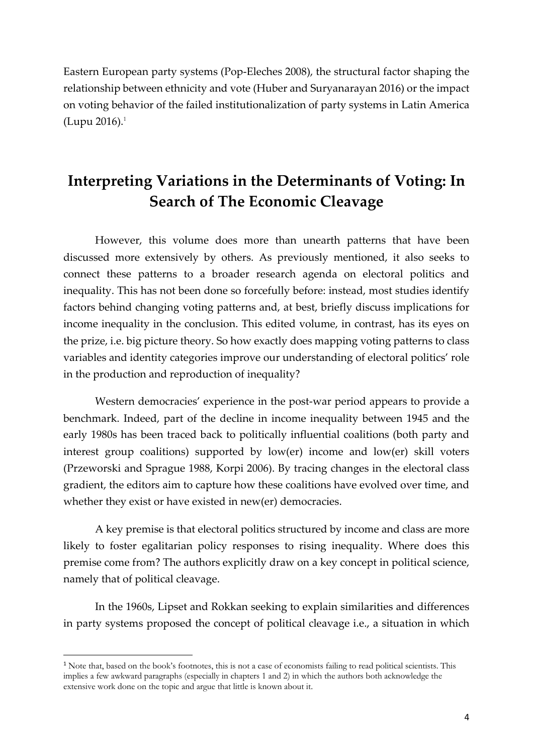Eastern European party systems (Pop-Eleches 2008), the structural factor shaping the relationship between ethnicity and vote (Huber and Suryanarayan 2016) or the impact on voting behavior of the failed institutionalization of party systems in Latin America (Lupu 2016). $^{1}$ 

# **Interpreting Variations in the Determinants of Voting: In Search of The Economic Cleavage**

However, this volume does more than unearth patterns that have been discussed more extensively by others. As previously mentioned, it also seeks to connect these patterns to a broader research agenda on electoral politics and inequality. This has not been done so forcefully before: instead, most studies identify factors behind changing voting patterns and, at best, briefly discuss implications for income inequality in the conclusion. This edited volume, in contrast, has its eyes on the prize, i.e. big picture theory. So how exactly does mapping voting patterns to class variables and identity categories improve our understanding of electoral politics' role in the production and reproduction of inequality?

Western democracies' experience in the post-war period appears to provide a benchmark. Indeed, part of the decline in income inequality between 1945 and the early 1980s has been traced back to politically influential coalitions (both party and interest group coalitions) supported by low(er) income and low(er) skill voters (Przeworski and Sprague 1988, Korpi 2006). By tracing changes in the electoral class gradient, the editors aim to capture how these coalitions have evolved over time, and whether they exist or have existed in new(er) democracies.

A key premise is that electoral politics structured by income and class are more likely to foster egalitarian policy responses to rising inequality. Where does this premise come from? The authors explicitly draw on a key concept in political science, namely that of political cleavage.

In the 1960s, Lipset and Rokkan seeking to explain similarities and differences in party systems proposed the concept of political cleavage i.e., a situation in which

<sup>&</sup>lt;sup>1</sup> Note that, based on the book's footnotes, this is not a case of economists failing to read political scientists. This implies a few awkward paragraphs (especially in chapters 1 and 2) in which the authors both acknowledge the extensive work done on the topic and argue that little is known about it.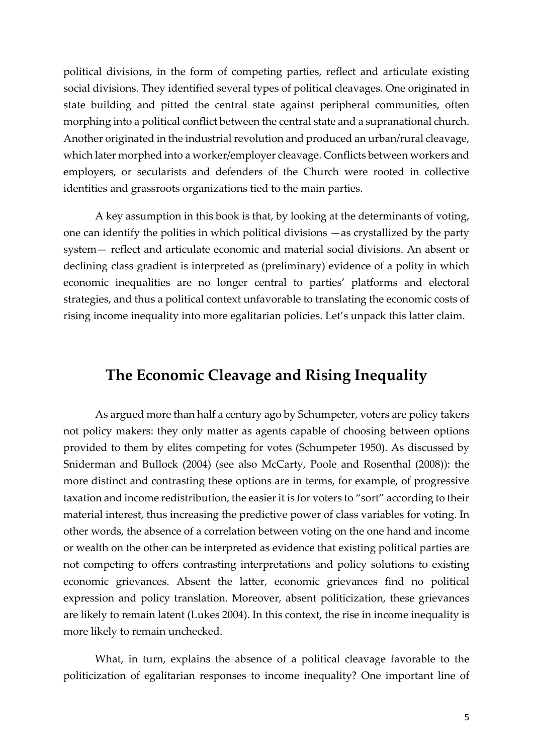political divisions, in the form of competing parties, reflect and articulate existing social divisions. They identified several types of political cleavages. One originated in state building and pitted the central state against peripheral communities, often morphing into a political conflict between the central state and a supranational church. Another originated in the industrial revolution and produced an urban/rural cleavage, which later morphed into a worker/employer cleavage. Conflicts between workers and employers, or secularists and defenders of the Church were rooted in collective identities and grassroots organizations tied to the main parties.

A key assumption in this book is that, by looking at the determinants of voting, one can identify the polities in which political divisions —as crystallized by the party system— reflect and articulate economic and material social divisions. An absent or declining class gradient is interpreted as (preliminary) evidence of a polity in which economic inequalities are no longer central to parties' platforms and electoral strategies, and thus a political context unfavorable to translating the economic costs of rising income inequality into more egalitarian policies. Let's unpack this latter claim.

### **The Economic Cleavage and Rising Inequality**

As argued more than half a century ago by Schumpeter, voters are policy takers not policy makers: they only matter as agents capable of choosing between options provided to them by elites competing for votes (Schumpeter 1950). As discussed by Sniderman and Bullock (2004) (see also McCarty, Poole and Rosenthal (2008)): the more distinct and contrasting these options are in terms, for example, of progressive taxation and income redistribution, the easierit is for voters to "sort" according to their material interest, thus increasing the predictive power of class variables for voting. In other words, the absence of a correlation between voting on the one hand and income or wealth on the other can be interpreted as evidence that existing political parties are not competing to offers contrasting interpretations and policy solutions to existing economic grievances. Absent the latter, economic grievances find no political expression and policy translation. Moreover, absent politicization, these grievances are likely to remain latent (Lukes 2004). In this context, the rise in income inequality is more likely to remain unchecked.

What, in turn, explains the absence of a political cleavage favorable to the politicization of egalitarian responses to income inequality? One important line of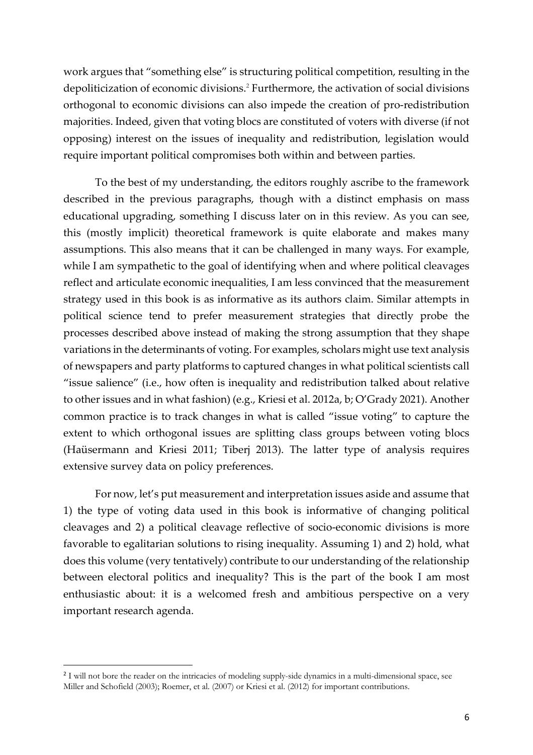work argues that "something else" is structuring political competition, resulting in the depoliticization of economic divisions.<sup>2</sup> Furthermore, the activation of social divisions orthogonal to economic divisions can also impede the creation of pro-redistribution majorities. Indeed, given that voting blocs are constituted of voters with diverse (if not opposing) interest on the issues of inequality and redistribution, legislation would require important political compromises both within and between parties.

To the best of my understanding, the editors roughly ascribe to the framework described in the previous paragraphs, though with a distinct emphasis on mass educational upgrading, something I discuss later on in this review. As you can see, this (mostly implicit) theoretical framework is quite elaborate and makes many assumptions. This also means that it can be challenged in many ways. For example, while I am sympathetic to the goal of identifying when and where political cleavages reflect and articulate economic inequalities, I am less convinced that the measurement strategy used in this book is as informative as its authors claim. Similar attempts in political science tend to prefer measurement strategies that directly probe the processes described above instead of making the strong assumption that they shape variations in the determinants of voting. For examples, scholars might use text analysis of newspapers and party platforms to captured changes in what political scientists call "issue salience" (i.e., how often is inequality and redistribution talked about relative to other issues and in what fashion) (e.g., Kriesi et al. 2012a, b; O'Grady 2021). Another common practice is to track changes in what is called "issue voting" to capture the extent to which orthogonal issues are splitting class groups between voting blocs (Haüsermann and Kriesi 2011; Tiberj 2013). The latter type of analysis requires extensive survey data on policy preferences.

For now, let's put measurement and interpretation issues aside and assume that 1) the type of voting data used in this book is informative of changing political cleavages and 2) a political cleavage reflective of socio-economic divisions is more favorable to egalitarian solutions to rising inequality. Assuming 1) and 2) hold, what does this volume (very tentatively) contribute to our understanding of the relationship between electoral politics and inequality? This is the part of the book I am most enthusiastic about: it is a welcomed fresh and ambitious perspective on a very important research agenda.

<sup>&</sup>lt;sup>2</sup> I will not bore the reader on the intricacies of modeling supply-side dynamics in a multi-dimensional space, see Miller and Schofield (2003); Roemer, et al. (2007) or Kriesi et al. (2012) for important contributions.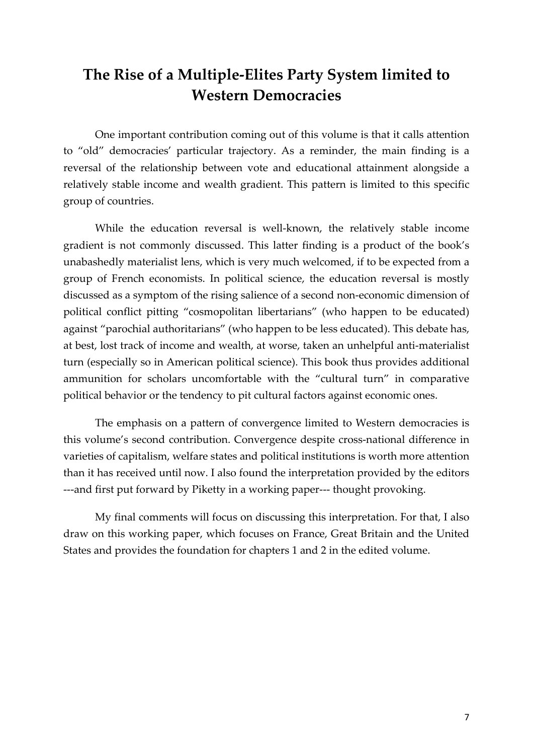## **The Rise of a Multiple-Elites Party System limited to Western Democracies**

One important contribution coming out of this volume is that it calls attention to "old" democracies' particular trajectory. As a reminder, the main finding is a reversal of the relationship between vote and educational attainment alongside a relatively stable income and wealth gradient. This pattern is limited to this specific group of countries.

While the education reversal is well-known, the relatively stable income gradient is not commonly discussed. This latter finding is a product of the book's unabashedly materialist lens, which is very much welcomed, if to be expected from a group of French economists. In political science, the education reversal is mostly discussed as a symptom of the rising salience of a second non-economic dimension of political conflict pitting "cosmopolitan libertarians" (who happen to be educated) against "parochial authoritarians" (who happen to be less educated). This debate has, at best, lost track of income and wealth, at worse, taken an unhelpful anti-materialist turn (especially so in American political science). This book thus provides additional ammunition for scholars uncomfortable with the "cultural turn" in comparative political behavior or the tendency to pit cultural factors against economic ones.

The emphasis on a pattern of convergence limited to Western democracies is this volume's second contribution. Convergence despite cross-national difference in varieties of capitalism, welfare states and political institutions is worth more attention than it has received until now. I also found the interpretation provided by the editors ---and first put forward by Piketty in a working paper--- thought provoking.

My final comments will focus on discussing this interpretation. For that, I also draw on this working paper, which focuses on France, Great Britain and the United States and provides the foundation for chapters 1 and 2 in the edited volume.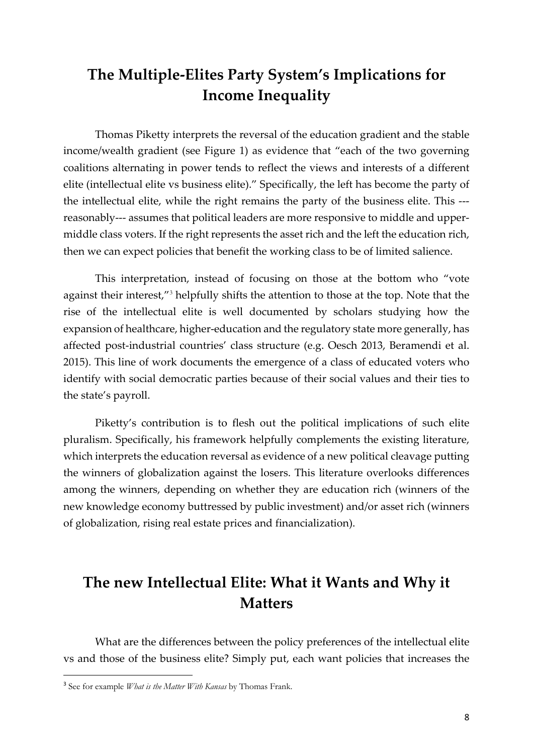# **The Multiple-Elites Party System's Implications for Income Inequality**

Thomas Piketty interprets the reversal of the education gradient and the stable income/wealth gradient (see Figure 1) as evidence that "each of the two governing coalitions alternating in power tends to reflect the views and interests of a different elite (intellectual elite vs business elite)." Specifically, the left has become the party of the intellectual elite, while the right remains the party of the business elite. This -- reasonably--- assumes that political leaders are more responsive to middle and uppermiddle class voters. If the right represents the asset rich and the left the education rich, then we can expect policies that benefit the working class to be of limited salience.

This interpretation, instead of focusing on those at the bottom who "vote against their interest,"<sup>3</sup> helpfully shifts the attention to those at the top. Note that the rise of the intellectual elite is well documented by scholars studying how the expansion of healthcare, higher-education and the regulatory state more generally, has affected post-industrial countries' class structure (e.g. Oesch 2013, Beramendi et al. 2015). This line of work documents the emergence of a class of educated voters who identify with social democratic parties because of their social values and their ties to the state's payroll.

Piketty's contribution is to flesh out the political implications of such elite pluralism. Specifically, his framework helpfully complements the existing literature, which interprets the education reversal as evidence of a new political cleavage putting the winners of globalization against the losers. This literature overlooks differences among the winners, depending on whether they are education rich (winners of the new knowledge economy buttressed by public investment) and/or asset rich (winners of globalization, rising real estate prices and financialization).

# **The new Intellectual Elite: What it Wants and Why it Matters**

What are the differences between the policy preferences of the intellectual elite vs and those of the business elite? Simply put, each want policies that increases the

<sup>3</sup> See for example *What is the Matter With Kansas* by Thomas Frank.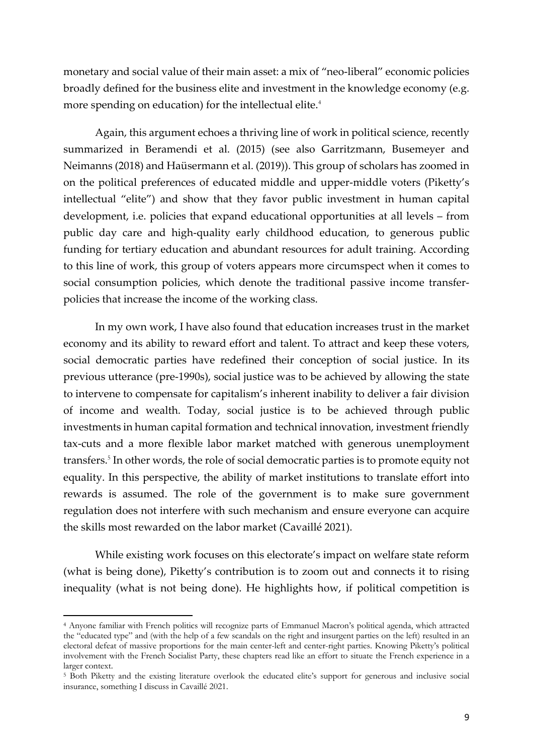monetary and social value of their main asset: a mix of "neo-liberal" economic policies broadly defined for the business elite and investment in the knowledge economy (e.g. more spending on education) for the intellectual elite.<sup>4</sup>

Again, this argument echoes a thriving line of work in political science, recently summarized in Beramendi et al. (2015) (see also Garritzmann, Busemeyer and Neimanns (2018) and Haüsermann et al. (2019)). This group of scholars has zoomed in on the political preferences of educated middle and upper-middle voters (Piketty's intellectual "elite") and show that they favor public investment in human capital development, i.e. policies that expand educational opportunities at all levels – from public day care and high-quality early childhood education, to generous public funding for tertiary education and abundant resources for adult training. According to this line of work, this group of voters appears more circumspect when it comes to social consumption policies, which denote the traditional passive income transferpolicies that increase the income of the working class.

In my own work, I have also found that education increases trust in the market economy and its ability to reward effort and talent. To attract and keep these voters, social democratic parties have redefined their conception of social justice. In its previous utterance (pre-1990s), social justice was to be achieved by allowing the state to intervene to compensate for capitalism's inherent inability to deliver a fair division of income and wealth. Today, social justice is to be achieved through public investments in human capital formation and technical innovation, investment friendly tax-cuts and a more flexible labor market matched with generous unemployment transfers.<sup>5</sup> In other words, the role of social democratic parties is to promote equity not equality. In this perspective, the ability of market institutions to translate effort into rewards is assumed. The role of the government is to make sure government regulation does not interfere with such mechanism and ensure everyone can acquire the skills most rewarded on the labor market (Cavaillé 2021).

While existing work focuses on this electorate's impact on welfare state reform (what is being done), Piketty's contribution is to zoom out and connects it to rising inequality (what is not being done). He highlights how, if political competition is

<sup>4</sup> Anyone familiar with French politics will recognize parts of Emmanuel Macron's political agenda, which attracted the "educated type" and (with the help of a few scandals on the right and insurgent parties on the left) resulted in an electoral defeat of massive proportions for the main center-left and center-right parties. Knowing Piketty's political involvement with the French Socialist Party, these chapters read like an effort to situate the French experience in a larger context.

<sup>5</sup> Both Piketty and the existing literature overlook the educated elite's support for generous and inclusive social insurance, something I discuss in Cavaillé 2021.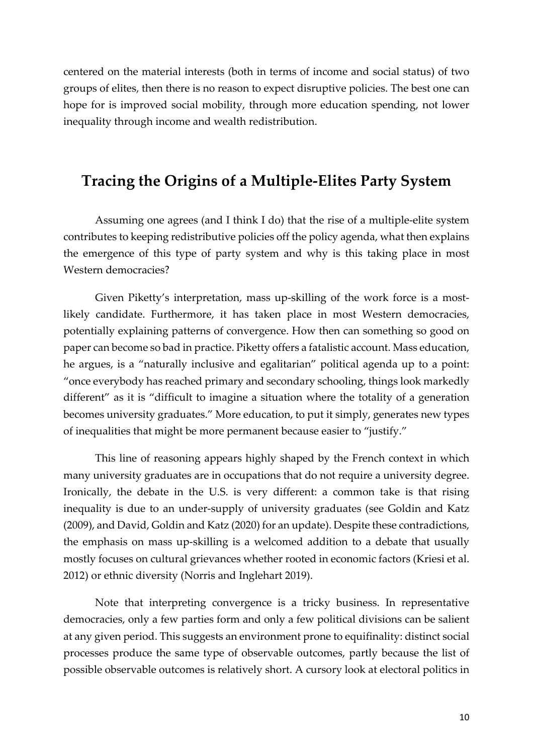centered on the material interests (both in terms of income and social status) of two groups of elites, then there is no reason to expect disruptive policies. The best one can hope for is improved social mobility, through more education spending, not lower inequality through income and wealth redistribution.

## **Tracing the Origins of a Multiple-Elites Party System**

Assuming one agrees (and I think I do) that the rise of a multiple-elite system contributes to keeping redistributive policies off the policy agenda, what then explains the emergence of this type of party system and why is this taking place in most Western democracies?

Given Piketty's interpretation, mass up-skilling of the work force is a mostlikely candidate. Furthermore, it has taken place in most Western democracies, potentially explaining patterns of convergence. How then can something so good on paper can become so bad in practice. Piketty offers a fatalistic account. Mass education, he argues, is a "naturally inclusive and egalitarian" political agenda up to a point: "once everybody has reached primary and secondary schooling, things look markedly different" as it is "difficult to imagine a situation where the totality of a generation becomes university graduates." More education, to put it simply, generates new types of inequalities that might be more permanent because easier to "justify."

This line of reasoning appears highly shaped by the French context in which many university graduates are in occupations that do not require a university degree. Ironically, the debate in the U.S. is very different: a common take is that rising inequality is due to an under-supply of university graduates (see Goldin and Katz (2009), and David, Goldin and Katz (2020) for an update). Despite these contradictions, the emphasis on mass up-skilling is a welcomed addition to a debate that usually mostly focuses on cultural grievances whether rooted in economic factors (Kriesi et al. 2012) or ethnic diversity (Norris and Inglehart 2019).

Note that interpreting convergence is a tricky business. In representative democracies, only a few parties form and only a few political divisions can be salient at any given period. This suggests an environment prone to equifinality: distinct social processes produce the same type of observable outcomes, partly because the list of possible observable outcomes is relatively short. A cursory look at electoral politics in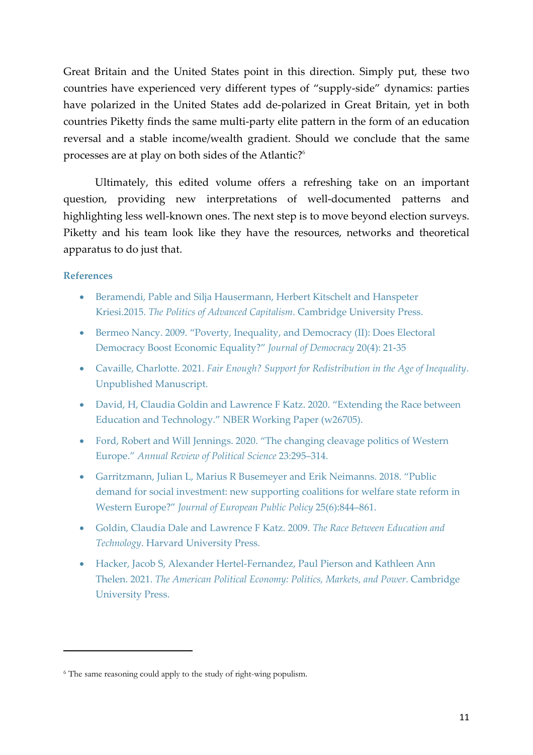Great Britain and the United States point in this direction. Simply put, these two countries have experienced very different types of "supply-side" dynamics: parties have polarized in the United States add de-polarized in Great Britain, yet in both countries Piketty finds the same multi-party elite pattern in the form of an education reversal and a stable income/wealth gradient. Should we conclude that the same processes are at play on both sides of the Atlantic?<sup>6</sup>

Ultimately, this edited volume offers a refreshing take on an important question, providing new interpretations of well-documented patterns and highlighting less well-known ones. The next step is to move beyond election surveys. Piketty and his team look like they have the resources, networks and theoretical apparatus to do just that.

#### **References**

- Beramendi, Pable and Silja Hausermann, Herbert Kitschelt and Hanspeter Kriesi.2015. *The Politics of Advanced Capitalism*. Cambridge University Press.
- Bermeo Nancy. 2009. "Poverty, Inequality, and Democracy (II): Does Electoral Democracy Boost Economic Equality?" *Journal of Democracy* 20(4): 21-35
- Cavaille, Charlotte. 2021. *Fair Enough? Support for Redistribution in the Age of Inequality*. Unpublished Manuscript.
- David, H, Claudia Goldin and Lawrence F Katz. 2020. "Extending the Race between Education and Technology." NBER Working Paper (w26705).
- Ford, Robert and Will Jennings. 2020. "The changing cleavage politics of Western Europe." *Annual Review of Political Science* 23:295–314.
- Garritzmann, Julian L, Marius R Busemeyer and Erik Neimanns. 2018. "Public demand for social investment: new supporting coalitions for welfare state reform in Western Europe?" *Journal of European Public Policy* 25(6):844–861.
- Goldin, Claudia Dale and Lawrence F Katz. 2009. *The Race Between Education and Technology*. Harvard University Press.
- Hacker, Jacob S, Alexander Hertel-Fernandez, Paul Pierson and Kathleen Ann Thelen. 2021. *The American Political Economy: Politics, Markets, and Power*. Cambridge University Press.

<sup>6</sup> The same reasoning could apply to the study of right-wing populism.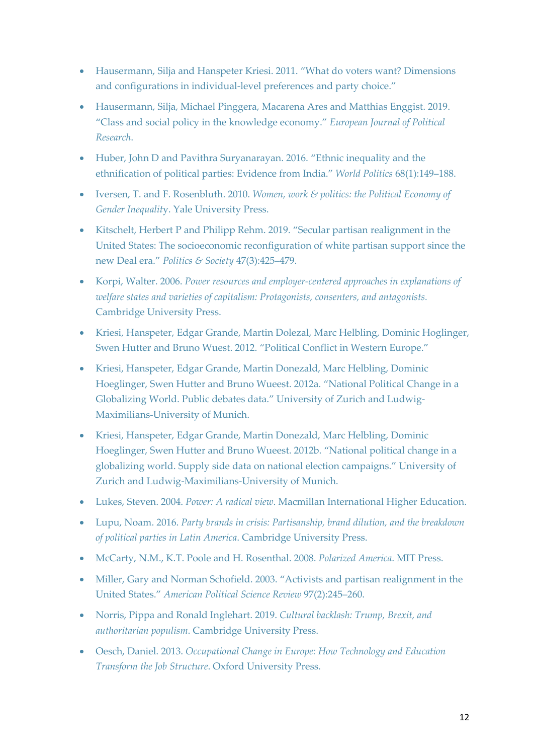- Hausermann, Silja and Hanspeter Kriesi. 2011. "What do voters want? Dimensions and configurations in individual-level preferences and party choice."
- Hausermann, Silja, Michael Pinggera, Macarena Ares and Matthias Enggist. 2019. "Class and social policy in the knowledge economy." *European Journal of Political Research*.
- Huber, John D and Pavithra Suryanarayan. 2016. "Ethnic inequality and the ethnification of political parties: Evidence from India." *World Politics* 68(1):149–188.
- Iversen, T. and F. Rosenbluth. 2010. *Women, work & politics: the Political Economy of Gender Inequalit*y. Yale University Press.
- Kitschelt, Herbert P and Philipp Rehm. 2019. "Secular partisan realignment in the United States: The socioeconomic reconfiguration of white partisan support since the new Deal era." *Politics & Society* 47(3):425–479.
- Korpi, Walter. 2006. *Power resources and employer-centered approaches in explanations of welfare states and varieties of capitalism: Protagonists, consenters, and antagonists.* Cambridge University Press.
- Kriesi, Hanspeter, Edgar Grande, Martin Dolezal, Marc Helbling, Dominic Hoglinger, Swen Hutter and Bruno Wuest. 2012. "Political Conflict in Western Europe."
- Kriesi, Hanspeter, Edgar Grande, Martin Donezald, Marc Helbling, Dominic Hoeglinger, Swen Hutter and Bruno Wueest. 2012a. "National Political Change in a Globalizing World. Public debates data." University of Zurich and Ludwig-Maximilians-University of Munich.
- Kriesi, Hanspeter, Edgar Grande, Martin Donezald, Marc Helbling, Dominic Hoeglinger, Swen Hutter and Bruno Wueest. 2012b. "National political change in a globalizing world. Supply side data on national election campaigns." University of Zurich and Ludwig-Maximilians-University of Munich.
- Lukes, Steven. 2004. *Power: A radical view*. Macmillan International Higher Education.
- Lupu, Noam. 2016. *Party brands in crisis: Partisanship, brand dilution, and the breakdown of political parties in Latin America*. Cambridge University Press.
- McCarty, N.M., K.T. Poole and H. Rosenthal. 2008. *Polarized America*. MIT Press.
- Miller, Gary and Norman Schofield. 2003. "Activists and partisan realignment in the United States." *American Political Science Review* 97(2):245–260.
- Norris, Pippa and Ronald Inglehart. 2019. *Cultural backlash: Trump, Brexit, and authoritarian populism*. Cambridge University Press.
- Oesch, Daniel. 2013. *Occupational Change in Europe: How Technology and Education Transform the Job Structure*. Oxford University Press.